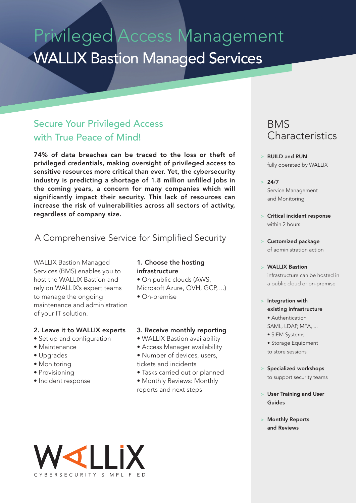# Privileged Access Management WALLIX Bastion Managed Services

### Secure Your Privileged Access with True Peace of Mind!

74% of data breaches can be traced to the loss or theft of privileged credentials, making oversight of privileged access to sensitive resources more critical than ever. Yet, the cybersecurity industry is predicting a shortage of 1.8 million unfilled jobs in the coming years, a concern for many companies which will significantly impact their security. This lack of resources can increase the risk of vulnerabilities across all sectors of activity, regardless of company size.

#### A Comprehensive Service for Simplified Security

WALLIX Bastion Managed Services (BMS) enables you to host the WALLIX Bastion and rely on WALLIX's expert teams to manage the ongoing maintenance and administration of your IT solution.

#### 2. Leave it to WALLIX experts

- Set up and configuration
- Maintenance
- Upgrades
- Monitoring
- Provisioning
- Incident response

#### 1. Choose the hosting infrastructure

• On public clouds (AWS, Microsoft Azure, OVH, GCP,…)

• On-premise

#### 3. Receive monthly reporting

- WALLIX Bastion availability
- Access Manager availability
- Number of devices, users, tickets and incidents
- Tasks carried out or planned
- Monthly Reviews: Monthly reports and next steps

### BMS **Characteristics**

- BUILD and RUN > fully operated by WALLIX
- $> 24/7$ Service Management and Monitoring
- Critical incident response > within 2 hours
- Customized package > of administration action
- WALLIX Bastion > infrastructure can be hosted in a public cloud or on-premise
- > Integration with existing infrastructure • Authentication
	- SAML, LDAP, MFA, ...
	- SIEM Systems

• Storage Equipment to store sessions

- > Specialized workshops to support security teams
- User Training and User > Guides
- Monthly Reports > and Reviews